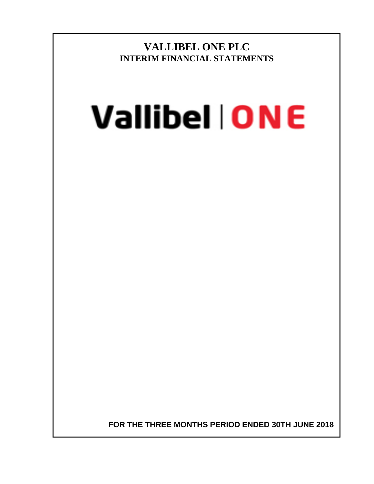**VALLIBEL ONE PLC INTERIM FINANCIAL STATEMENTS**

# **Vallibel | ONE**

**FOR THE THREE MONTHS PERIOD ENDED 30TH JUNE 2018**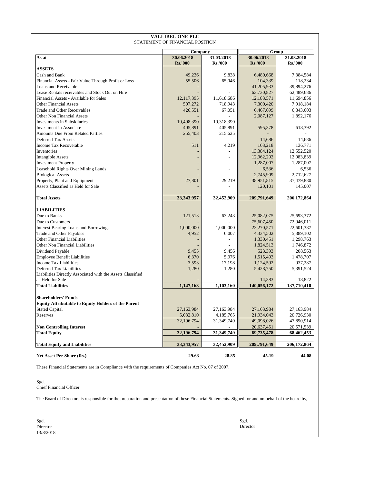| <b>VALLIBEL ONE PLC</b><br>STATEMENT OF FINANCIAL POSITION |                |                |                      |                      |  |  |  |
|------------------------------------------------------------|----------------|----------------|----------------------|----------------------|--|--|--|
|                                                            | Company        |                |                      | Group                |  |  |  |
| As at                                                      | 30.06.2018     | 31.03.2018     | 30.06.2018           | 31.03.2018           |  |  |  |
|                                                            | <b>Rs.'000</b> | <b>Rs.'000</b> | <b>Rs.'000</b>       | <b>Rs.'000</b>       |  |  |  |
| <b>ASSETS</b>                                              |                |                |                      |                      |  |  |  |
| Cash and Bank                                              | 49,236         | 9,838          | 6,480,668            | 7,384,584            |  |  |  |
| Financial Assets - Fair Value Through Profit or Loss       | 55,506         | 65,046         | 104,339              | 118,234              |  |  |  |
| Loans and Receivable                                       |                |                | 41,205,933           | 39,894,276           |  |  |  |
| Lease Rentals receivables and Stock Out on Hire            |                |                | 63,730,827           | 62,489,686           |  |  |  |
| Financial Assets - Available for Sales                     | 12,117,395     | 11,618,686     | 12,183,571           | 11,694,856           |  |  |  |
| <b>Other Financial Assets</b>                              | 507,272        | 718,943        | 7,300,420            | 7,918,184            |  |  |  |
| Trade and Other Receivables                                | 426,551        | 67,051         | 6,467,699            | 6,843,603            |  |  |  |
| <b>Other Non Financial Assets</b>                          |                |                | 2,087,127            | 1,892,176            |  |  |  |
| <b>Investments in Subsidiaries</b>                         | 19,498,390     | 19,318,390     |                      |                      |  |  |  |
| Investment in Associate                                    | 405,891        | 405,891        | 595,378              | 618,392              |  |  |  |
| <b>Amounts Due From Related Parties</b>                    | 255,403        | 215,625        |                      |                      |  |  |  |
| Deferred Tax Assets                                        |                |                | 14,686               | 14,686               |  |  |  |
| Income Tax Recoverable                                     | 511            | 4,219          | 163,218              | 136,771              |  |  |  |
| Inventories                                                |                |                | 13,384,124           | 12,552,520           |  |  |  |
| <b>Intangible Assets</b>                                   |                |                | 12,962,292           | 12,983,839           |  |  |  |
| <b>Investment Property</b>                                 |                |                | 1,287,007            | 1,287,007            |  |  |  |
| Leasehold Rights Over Mining Lands                         |                |                | 6,536                | 6,536                |  |  |  |
| <b>Biological Assets</b>                                   |                |                | 2,745,909            | 2,712,627            |  |  |  |
| Property, Plant and Equipment                              | 27,801         | 29,219         | 38,951,815           | 37,479,880           |  |  |  |
| Assets Classified as Held for Sale                         |                |                | 120,101              | 145,007              |  |  |  |
|                                                            |                |                |                      |                      |  |  |  |
| <b>Total Assets</b>                                        | 33,343,957     | 32,452,909     | 209,791,649          | 206,172,864          |  |  |  |
| <b>LIABILITIES</b>                                         |                |                |                      |                      |  |  |  |
| Due to Banks                                               | 121,513        | 63,243         | 25,082,075           | 25,693,372           |  |  |  |
| Due to Customers                                           |                |                | 75,607,450           | 72,946,011           |  |  |  |
| Interest Bearing Loans and Borrowings                      | 1,000,000      | 1,000,000      | 23,270,571           | 22,601,387           |  |  |  |
| <b>Trade and Other Payables</b>                            | 4,952          | 6,007          | 4,334,502            | 5,389,102            |  |  |  |
| Other Financial Liabilities                                |                | $\overline{a}$ | 1,330,451            | 1,298,763            |  |  |  |
| Other Non Financial Liabilities                            |                |                |                      |                      |  |  |  |
| Dividend Payable                                           | 9,455          | 9,456          | 1,824,513<br>523,393 | 1,746,872<br>208,563 |  |  |  |
| <b>Employee Benefit Liabilities</b>                        | 6,370          | 5,976          |                      | 1,478,707            |  |  |  |
| <b>Income Tax Liabilities</b>                              |                | 17,198         | 1,515,493            |                      |  |  |  |
| Deferred Tax Liabilities                                   | 3,593          |                | 1,124,592            | 937,287              |  |  |  |
| Liabilities Directly Associated with the Assets Classified | 1,280          | 1,280          | 5,428,750            | 5,391,524            |  |  |  |
| as Held for Sale                                           |                |                | 14,383               | 18,822               |  |  |  |
| <b>Total Liabilities</b>                                   | 1,147,163      | 1,103,160      | 140,056,172          | 137,710,410          |  |  |  |
|                                                            |                |                |                      |                      |  |  |  |
| <b>Shareholders' Funds</b>                                 |                |                |                      |                      |  |  |  |
| <b>Equity Attributable to Equity Holders of the Parent</b> |                |                |                      |                      |  |  |  |
| <b>Stated Capital</b>                                      | 27,163,984     | 27,163,984     | 27,163,984           | 27,163,984           |  |  |  |
| Reserves                                                   | 5,032,810      | 4,185,765      | 21,934,043           | 20,726,930           |  |  |  |
|                                                            | 32,196,794     | 31,349,749     | 49,098,026           | 47,890,914           |  |  |  |
| <b>Non Controlling Interest</b>                            |                |                | 20,637,451           | 20,571,539           |  |  |  |
| <b>Total Equity</b>                                        | 32,196,794     | 31,349,749     | 69,735,478           | 68,462,453           |  |  |  |
|                                                            |                |                |                      |                      |  |  |  |
| <b>Total Equity and Liabilities</b>                        | 33,343,957     | 32,452,909     | 209,791,649          | 206,172,864          |  |  |  |
| Net Asset Per Share (Rs.)                                  | 29.63          | 28.85          | 45.19                | 44.08                |  |  |  |

These Financial Statements are in Compliance with the requirements of Companies Act No. 07 of 2007.

Sgd. Chief Financial Officer

The Board of Directors is responsible for the preparation and presentation of these Financial Statements. Signed for and on behalf of the board by,

| Sgd.      | Sgd.     |
|-----------|----------|
| Director  | Director |
| 13/8/2018 |          |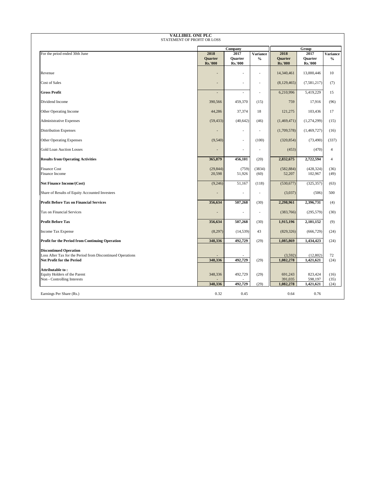| <b>VALLIBEL ONE PLC</b><br>STATEMENT OF PROFIT OR LOSS                                                                   |                                          |                                   |                                  |                                   |                                   |                                  |
|--------------------------------------------------------------------------------------------------------------------------|------------------------------------------|-----------------------------------|----------------------------------|-----------------------------------|-----------------------------------|----------------------------------|
|                                                                                                                          |                                          | Company                           |                                  |                                   |                                   |                                  |
| For the peiod ended 30th June                                                                                            | 2018<br><b>Ouarter</b><br><b>Rs.'000</b> | 2017<br>Quarter<br><b>Rs.'000</b> | <b>Variance</b><br>$\frac{0}{0}$ | 2018<br>Quarter<br><b>Rs.'000</b> | 2017<br>Quarter<br><b>Rs.'000</b> | <b>Variance</b><br>$\frac{0}{0}$ |
| Revenue                                                                                                                  | $\overline{a}$                           | ٠                                 | ä,                               | 14,340,461                        | 13,000,446                        | 10                               |
| Cost of Sales                                                                                                            | $\overline{\phantom{a}}$                 | ä,                                | $\frac{1}{2}$                    | (8,129,465)                       | (7,581,217)                       | (7)                              |
| <b>Gross Profit</b>                                                                                                      | $\overline{a}$                           | ٠                                 | ÷,                               | 6,210,996                         | 5,419,229                         | 15                               |
| Dividend Income                                                                                                          | 390,566                                  | 459,370                           | (15)                             | 759                               | 17,916                            | (96)                             |
| Other Operating Income                                                                                                   | 44,286                                   | 37,374                            | 18                               | 121,275                           | 103,436                           | 17                               |
| <b>Administrative Expenses</b>                                                                                           | (59, 433)                                | (40, 642)                         | (46)                             | (1,469,471)                       | (1,274,299)                       | (15)                             |
| <b>Distribution Expenses</b>                                                                                             | $\overline{\phantom{a}}$                 | ÷,                                | $\overline{\phantom{a}}$         | (1,709,578)                       | (1,469,727)                       | (16)                             |
| <b>Other Operating Expenses</b>                                                                                          | (9,540)                                  | ÷,                                | (100)                            | (320, 854)                        | (73, 490)                         | (337)                            |
| <b>Gold Loan Auction Losses</b>                                                                                          |                                          | ٠                                 | L,                               | (453)                             | (470)                             | $\overline{4}$                   |
| <b>Results from Operating Activities</b>                                                                                 | 365,879                                  | 456,101                           | (20)                             | 2,832,675                         | 2,722,594                         | $\overline{4}$                   |
| <b>Finance Cost</b><br>Finance Income                                                                                    | (29, 844)<br>20,598                      | (759)<br>51,926                   | (3834)<br>(60)                   | (582, 884)<br>52,207              | (428, 324)<br>102,967             | (36)<br>(49)                     |
| <b>Net Finance Income/(Cost)</b>                                                                                         | (9,246)                                  | 51,167                            | (118)                            | (530, 677)                        | (325, 357)                        | (63)                             |
| Share of Results of Equity Accounted Investees                                                                           |                                          | L,                                | L,                               | (3,037)                           | (506)                             | 500                              |
| <b>Profit Before Tax on Financial Services</b>                                                                           | 356,634                                  | 507,268                           | (30)                             | 2,298,961                         | 2,396,731                         | (4)                              |
| Tax on Financial Services                                                                                                | $\overline{\phantom{a}}$                 | L,                                | $\overline{\phantom{a}}$         | (383,766)                         | (295, 579)                        | (30)                             |
| <b>Profit Before Tax</b>                                                                                                 | 356,634                                  | 507,268                           | (30)                             | 1,915,196                         | 2,101,152                         | (9)                              |
| Income Tax Expense                                                                                                       | (8,297)                                  | (14, 539)                         | 43                               | (829, 326)                        | (666, 729)                        | (24)                             |
| Profit for the Period from Continuing Operation                                                                          | 348,336                                  | 492,729                           | (29)                             | 1,085,869                         | 1,434,423                         | (24)                             |
| <b>Discontinued Operation</b><br>Loss After Tax for the Period from Discontinued Operations<br>Net Profit for the Period | 348,336                                  | 492,729                           | (29)                             | (3,592)<br>1,082,278              | (12, 802)<br>1,421,621            | 72<br>(24)                       |
| Attributable to:<br>Equity Holders of the Parent<br>Non - Controlling Interests                                          | 348,336<br>348,336                       | 492,729<br>492,729                | (29)<br>(29)                     | 691,243<br>391,035<br>1,082,278   | 823,424<br>598,197<br>1,421,621   | (16)<br>(35)<br>(24)             |
| Earnings Per Share (Rs.)                                                                                                 | 0.32                                     | 0.45                              |                                  | 0.64                              | 0.76                              |                                  |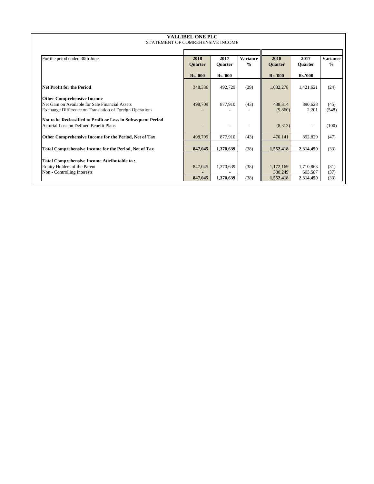| <b>VALLIBEL ONE PLC</b>                                       |                          |                |                          |                |                |                 |  |  |  |
|---------------------------------------------------------------|--------------------------|----------------|--------------------------|----------------|----------------|-----------------|--|--|--|
| STATEMENT OF COMREHENSIVE INCOME                              |                          |                |                          |                |                |                 |  |  |  |
|                                                               |                          |                |                          |                |                |                 |  |  |  |
| For the peiod ended 30th June                                 | 2018                     | 2017           | <b>Variance</b>          | 2018           | 2017           | <b>Variance</b> |  |  |  |
|                                                               | Quarter                  | <b>Ouarter</b> | $\frac{0}{0}$            | Quarter        | <b>Ouarter</b> | $\frac{0}{0}$   |  |  |  |
|                                                               |                          |                |                          |                |                |                 |  |  |  |
|                                                               | <b>Rs.'000</b>           | <b>Rs.'000</b> |                          | <b>Rs.'000</b> | <b>Rs.'000</b> |                 |  |  |  |
| Net Profit for the Period                                     | 348,336                  | 492,729        | (29)                     | 1,082,278      | 1,421,621      | (24)            |  |  |  |
|                                                               |                          |                |                          |                |                |                 |  |  |  |
| <b>Other Comprehensive Income</b>                             |                          |                |                          |                |                |                 |  |  |  |
| Net Gain on Available for Sale Financial Assets               | 498,709                  | 877,910        | (43)                     | 488,314        | 890,628        | (45)            |  |  |  |
| Exchange Difference on Translation of Foreign Operations      |                          |                |                          | (9,860)        | 2,201          | (548)           |  |  |  |
| Not to be Reclassified to Profit or Loss in Subsequent Period |                          |                |                          |                |                |                 |  |  |  |
| Acturial Loss on Defined Benefit Plans                        | $\overline{\phantom{0}}$ |                | $\overline{\phantom{a}}$ | (8,313)        |                | (100)           |  |  |  |
|                                                               |                          |                |                          |                |                |                 |  |  |  |
| Other Comprehensive Income for the Period, Net of Tax         | 498,709                  | 877,910        | (43)                     | 470,141        | 892,829        | (47)            |  |  |  |
|                                                               |                          |                |                          |                |                |                 |  |  |  |
| <b>Total Comprehensive Income for the Period, Net of Tax</b>  | 847,045                  | 1,370,639      | (38)                     | 1,552,418      | 2,314,450      | (33)            |  |  |  |
| <b>Total Comprehensive Income Attributable to:</b>            |                          |                |                          |                |                |                 |  |  |  |
| Equity Holders of the Parent                                  | 847,045                  | 1,370,639      | (38)                     | 1,172,169      | 1,710,863      | (31)            |  |  |  |
| Non - Controlling Interests                                   |                          |                |                          | 380,249        | 603,587        | (37)            |  |  |  |
|                                                               | 847,045                  | 1,370,639      | (38)                     | 1,552,418      | 2,314,450      | (33)            |  |  |  |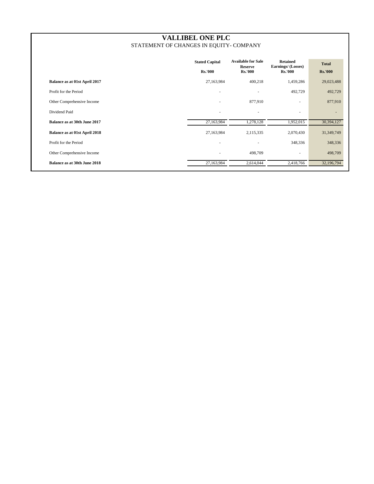# **VALLIBEL ONE PLC** STATEMENT OF CHANGES IN EQUITY- COMPANY

|                                     | <b>Stated Capital</b><br><b>Rs.'000</b> | <b>Available for Sale</b><br><b>Reserve</b><br><b>Rs.'000</b> | <b>Retained</b><br>Earnings/ (Losses)<br><b>Rs.'000</b> | <b>Total</b><br><b>Rs.'000</b> |
|-------------------------------------|-----------------------------------------|---------------------------------------------------------------|---------------------------------------------------------|--------------------------------|
| Balance as at 01st April 2017       | 27,163,984                              | 400,218                                                       | 1,459,286                                               | 29,023,488                     |
| Profit for the Period               |                                         | ٠                                                             | 492,729                                                 | 492,729                        |
| Other Comprehensive Income          | $\sim$                                  | 877,910                                                       | ۰                                                       | 877,910                        |
| Dividend Paid                       | $\sim$                                  | ÷                                                             | ٠                                                       | ٠                              |
| <b>Balance as at 30th June 2017</b> | 27,163,984                              | 1,278,128                                                     | 1,952,015                                               | 30,394,127                     |
| Balance as at 01st April 2018       | 27,163,984                              | 2,115,335                                                     | 2,070,430                                               | 31, 349, 749                   |
| Profit for the Period               | $\overline{\phantom{a}}$                | ۰                                                             | 348,336                                                 | 348,336                        |
| Other Comprehensive Income          | $\overline{\phantom{a}}$                | 498,709                                                       | ٠                                                       | 498,709                        |
| <b>Balance as at 30th June 2018</b> | 27,163,984                              | 2,614,044                                                     | 2,418,766                                               | 32,196,794                     |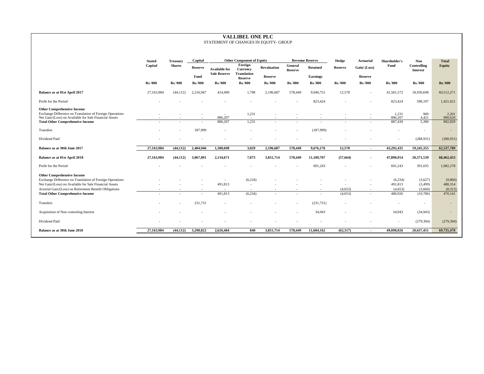#### **VALLIBEL ONE PLC** STATEMENT OF CHANGES IN EQUITY- GROUP

|                                                                                                                                                         | <b>Stated</b>  | <b>Treasury</b> | Capital        |                                             | <b>Other Component of Equity</b>          |                    |                           | <b>Revenue Reserve</b>   | Hedge          | Actuarial                | Shareholder's      | <b>Non</b>                     | <b>Total</b>       |
|---------------------------------------------------------------------------------------------------------------------------------------------------------|----------------|-----------------|----------------|---------------------------------------------|-------------------------------------------|--------------------|---------------------------|--------------------------|----------------|--------------------------|--------------------|--------------------------------|--------------------|
|                                                                                                                                                         | Capital        | <b>Shares</b>   | Reserve        | <b>Available for</b><br><b>Sale Reserve</b> | Foreign<br>Currency<br><b>Translation</b> | <b>Revaluation</b> | General<br><b>Reserve</b> | <b>Retained</b>          | Reserve        | Gain/ (Loss)             | Fund               | Controlling<br><b>Interest</b> | <b>Equity</b>      |
|                                                                                                                                                         |                |                 | Fund           |                                             | Reserve                                   | Reserve            |                           | Earnings                 |                | <b>Reserve</b>           |                    |                                |                    |
|                                                                                                                                                         | <b>Rs.'000</b> | <b>Rs.'000</b>  | <b>Rs.'000</b> | <b>Rs.'000</b>                              | <b>Rs.'000</b>                            | <b>Rs.'000</b>     | <b>Rs.'000</b>            | <b>Rs.'000</b>           | <b>Rs.'000</b> | <b>Rs.'000</b>           | <b>Rs.'000</b>     | <b>Rs.'000</b>                 | <b>Rs.'000</b>     |
| Balance as at 01st April 2017                                                                                                                           | 27,163,984     | (44, 112)       | 2,216,947      | 414,490                                     | 1,798                                     | 2,196,687          | 578,449                   | 9,040,751                | 12,578         |                          | 41,581,572         | 18,930,698                     | 60,512,271         |
| Profit for the Period                                                                                                                                   |                |                 |                |                                             |                                           |                    |                           | 823,424                  |                |                          | 823,424            | 598,197                        | 1,421,621          |
| <b>Other Comprehensive Income</b><br>Exchange Difference on Translation of Foreign Operations<br>Net Gain/(Loss) on Available for Sale Financial Assets |                |                 |                | $\overline{a}$<br>886,207                   | 1,231<br>$\sim$                           |                    |                           | $\overline{\phantom{a}}$ |                |                          | 1,231<br>886,207   | 969<br>4,421                   | 2,201<br>890,628   |
| <b>Total Other Comprehensive Income</b>                                                                                                                 |                |                 |                | 886,207                                     | 1,231                                     |                    |                           |                          |                |                          | 887,439            | 5,390                          | 892,829            |
| Transfers                                                                                                                                               |                |                 | 187,999        |                                             |                                           |                    |                           | (187,999)                |                |                          |                    | $\sim$                         | $\sim$             |
| Dividend Paid                                                                                                                                           |                |                 |                |                                             |                                           |                    |                           |                          |                |                          |                    | (288, 931)                     | (288, 931)         |
| Balance as at 30th June 2017                                                                                                                            | 27,163,984     | (44.112)        | 2,404,946      | 1.300.698                                   | 3.029                                     | 2,196,687          | 578,449                   | 9,676,176                | 12,578         | $\sim$                   | 43,292,435         | 19,245,355                     | 62,537,789         |
| Balance as at 01st April 2018                                                                                                                           | 27,163,984     | (44, 112)       | 3,067,091      | 2,134,671                                   | 7,073                                     | 3,851,714          | 578,449                   | 11,189,707               | (57, 664)      | $\overline{\phantom{a}}$ | 47,890,914         | 20,571,539                     | 68,462,453         |
| Profit for the Period                                                                                                                                   |                |                 |                |                                             |                                           |                    |                           | 691,243                  |                |                          | 691,243            | 391,035                        | 1,082,278          |
| <b>Other Comprehensive Income</b>                                                                                                                       |                |                 |                |                                             |                                           |                    |                           |                          |                |                          |                    |                                |                    |
| Exchange Difference on Translation of Foreign Operations<br>Net Gain/(Loss) on Available for Sale Financial Assets                                      |                |                 |                | 491,813                                     | (6,234)<br>$\sim$                         |                    |                           |                          |                |                          | (6,234)<br>491,813 | (3,627)<br>(3,499)             | (9,860)<br>488,314 |
| Acturial Gain/(Loss) on Retirement Benefit Obligations                                                                                                  |                |                 |                | $\sim$                                      |                                           |                    |                           | $\overline{\phantom{a}}$ | (4,653)        |                          | (4,653)            | (3,660)                        | (8,313)            |
| <b>Total Other Comprehensive Income</b>                                                                                                                 |                |                 |                | 491,813                                     | (6,234)                                   | $\sim$             |                           |                          | (4,653)        |                          | 480,926            | (10, 786)                      | 470,141            |
| Transfers                                                                                                                                               |                |                 | 231,731        |                                             |                                           |                    |                           | (231, 731)               | $\sim$         |                          |                    | $\overline{a}$                 |                    |
| Acquisition of Non controling Interest                                                                                                                  |                |                 |                |                                             |                                           |                    |                           | 34,943                   |                |                          | 34,943             | (34,943)                       |                    |
| Dividend Paid                                                                                                                                           |                |                 |                |                                             |                                           |                    |                           |                          |                |                          |                    | (279, 394)                     | (279, 394)         |
| Balance as at 30th June 2018                                                                                                                            | 27,163,984     | (44, 112)       | 3,298,822      | 2,626,484                                   | 840                                       | 3,851,714          | 578,449                   | 11,684,162               | (62,317)       | $\overline{\phantom{a}}$ | 49,098,026         | 20,637,451                     | 69,735,478         |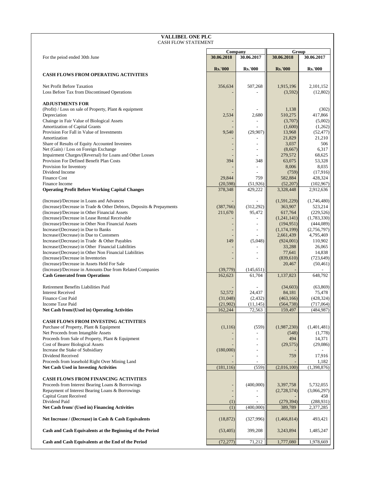| <b>VALLIBEL ONE PLC</b><br><b>CASH FLOW STATEMENT</b>                                                                 |                          |                      |                            |                          |  |  |  |
|-----------------------------------------------------------------------------------------------------------------------|--------------------------|----------------------|----------------------------|--------------------------|--|--|--|
|                                                                                                                       |                          |                      |                            |                          |  |  |  |
| For the peiod ended 30th June                                                                                         | Company<br>30.06.2018    | 30.06.2017           | Group<br>30.06.2018        | 30.06.2017               |  |  |  |
|                                                                                                                       |                          |                      |                            |                          |  |  |  |
| <b>CASH FLOWS FROM OPERATING ACTIVITIES</b>                                                                           | <b>Rs.'000</b>           | <b>Rs.'000</b>       | <b>Rs.'000</b>             | <b>Rs.'000</b>           |  |  |  |
|                                                                                                                       |                          |                      |                            |                          |  |  |  |
| Net Profit Before Taxation                                                                                            | 356,634                  | 507,268              | 1,915,196                  | 2,101,152                |  |  |  |
| Loss Before Tax from Discontinued Operations                                                                          |                          |                      | (3,592)                    | (12,802)                 |  |  |  |
| <b>ADJUSTMENTS FOR</b>                                                                                                |                          |                      |                            |                          |  |  |  |
| (Profit) / Loss on sale of Property, Plant & equipment<br>Depreciation                                                | 2,534                    | 2,680                | 1,138<br>510,275           | (302)<br>417,866         |  |  |  |
| Chainge in Fair Value of Biological Assets                                                                            |                          |                      | (3,707)                    | (5,002)                  |  |  |  |
| Amortization of Capital Grants                                                                                        |                          |                      | (1,600)                    | (1,262)                  |  |  |  |
| Provision For Fall in Value of Investments<br>Amortization                                                            | 9,540                    | (29, 907)            | 13,968                     | (52, 477)                |  |  |  |
| Share of Results of Equity Accounted Investees                                                                        |                          |                      | 21,829<br>3,037            | 21,210<br>506            |  |  |  |
| Net (Gain) / Loss on Foreign Exchange                                                                                 |                          |                      | (8,667)                    | 6,317                    |  |  |  |
| Impairment Charges/(Reversal) for Loans and Other Losses                                                              |                          |                      | 279,572                    | 68,625                   |  |  |  |
| Provision For Defined Benefit Plan Costs<br>Provision for Inventory                                                   | 394                      | 348                  | 63,075<br>8,006            | 53,328<br>8,035          |  |  |  |
| Dividend Income                                                                                                       |                          |                      | (759)                      | (17,916)                 |  |  |  |
| Finance Cost                                                                                                          | 29,844                   | 759                  | 582,884                    | 428,324                  |  |  |  |
| Finance Income<br><b>Operating Profit Before Working Capital Changes</b>                                              | (20, 598)<br>378,348     | (51, 926)<br>429.222 | (52, 207)<br>3,328,448     | (102, 967)<br>2,912,636  |  |  |  |
|                                                                                                                       |                          |                      |                            |                          |  |  |  |
| (Increase)/Decrease in Loans and Advances                                                                             |                          |                      | (1,591,229)                | (1,746,480)              |  |  |  |
| (Increase)/Decrease in Trade & Other Debtors, Deposits & Prepayments<br>(Increase)/Decrease in Other Financial Assets | (387,766)<br>211,670     | (312, 292)<br>95,472 | 363,907<br>617,764         | 523,214<br>(229, 526)    |  |  |  |
| (Increase)/Decrease in Lease Rental Receivable                                                                        |                          | $\overline{a}$       | (1, 241, 141)              | (1,783,330)              |  |  |  |
| (Increase)/Decrease in Other Non Financial Assets                                                                     |                          |                      | (194, 951)                 | (444, 089)               |  |  |  |
| Increase/(Decrease) in Due to Banks<br>Increase/(Decrease) in Due to Customers                                        |                          | $\overline{a}$       | (1, 174, 199)<br>2,661,439 | (2,756,797)<br>4,795,469 |  |  |  |
| Increase/(Decrease) in Trade & Other Payables                                                                         | 149                      | (5,048)              | (924,001)                  | 110,902                  |  |  |  |
| Increase/(Decrease) in Other Financial Liabilities                                                                    |                          |                      | 33,288                     | 26,065                   |  |  |  |
| Increase/(Decrease) in Other Non Financial Liabilities                                                                |                          |                      | 77,641                     | 14,838                   |  |  |  |
| (Increase)/Decrease in Inventories<br>(Increase)/Decrease in Assets Held For Sale                                     |                          |                      | (839, 610)<br>20,467       | (723, 649)<br>(50, 461)  |  |  |  |
| (Increase)/Decrease in Amounts Due from Related Companies                                                             | (39,779)                 | (145, 651)           |                            |                          |  |  |  |
| <b>Cash Generated from Operations</b>                                                                                 | 162,623                  | 61,704               | 1,137,823                  | 648,792                  |  |  |  |
| Retirement Benefits Liabilities Paid                                                                                  |                          |                      | (34, 603)                  | (63, 869)                |  |  |  |
| <b>Interest Received</b>                                                                                              | 52,572                   | 24.437               | 84,181                     | 75,478                   |  |  |  |
| <b>Finance Cost Paid</b>                                                                                              | (31,048)                 | (2, 432)             | (463, 166)                 | (428, 324)               |  |  |  |
| <b>Income Taxe Paid</b><br><b>Net Cash from/(Used in) Operating Activities</b>                                        | (21,902)<br>162,244      | (11, 145)<br>72,563  | (564, 738)<br>159,497      | (717,064)<br>(484, 987)  |  |  |  |
|                                                                                                                       |                          |                      |                            |                          |  |  |  |
| <b>CASH FLOWS FROM INVESTING ACTIVITIES</b>                                                                           |                          |                      |                            |                          |  |  |  |
| Purchase of Property, Plant & Equipment<br>Net Proceeds from Intangible Assets                                        | (1,116)                  | (559)                | (1,987,230)<br>(548)       | (1,401,481)<br>(1,778)   |  |  |  |
| Proceeds from Sale of Property, Plant & Equipment                                                                     |                          | $\overline{a}$       | 494                        | 14,371                   |  |  |  |
| <b>Cost of Bearer Biological Assets</b>                                                                               |                          |                      | (29, 575)                  | (29,086)                 |  |  |  |
| Increase the Stake of Subsidiary<br>Dividend Received                                                                 | (180,000)                |                      | 759                        | 17,916                   |  |  |  |
| Proceeds from leasehold Right Over Mining Land                                                                        |                          |                      |                            | 1,182                    |  |  |  |
| <b>Net Cash Used in Investing Activities</b>                                                                          | (181, 116)               | (559)                | (2,016,100)                | (1,398,876)              |  |  |  |
| <b>CASH FLOWS FROM FINANCING ACTIVITIES</b>                                                                           |                          |                      |                            |                          |  |  |  |
| Proceeds from Interest Bearing Loans & Borrowings                                                                     |                          | (400,000)            | 3,397,758                  | 5,732,055                |  |  |  |
| Repayment of Interest Bearing Loans & Borrowings                                                                      | $\overline{\phantom{a}}$ |                      | (2,728,574)                | (3,066,297)              |  |  |  |
| Capital Grant Received<br>Dividend Paid                                                                               | (1)                      |                      | (279, 394)                 | 458<br>(288, 931)        |  |  |  |
| Net Cash from/ (Used in) Financing Activities                                                                         | (1)                      | (400,000)            | 389,789                    | 2,377,285                |  |  |  |
| Net Increase / (Decrease) in Cash & Cash Equivalents                                                                  | (18, 872)                | (327,996)            | (1,466,814)                | 493,421                  |  |  |  |
| Cash and Cash Equivalents at the Beginning of the Period                                                              | (53, 405)                | 399,208              | 3,243,894                  | 1,485,247                |  |  |  |
| Cash and Cash Equivalents at the End of the Period                                                                    | (72, 277)                | 71,212               | 1,777,080                  | 1,978,669                |  |  |  |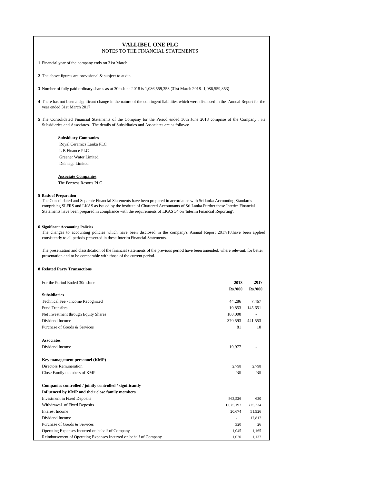**1** Financial year of the company ends on 31st March.

**2** The above figures are provisional & subject to audit.

**3** Number of fully paid ordinary shares as at 30th June 2018 is 1,086,559,353 (31st March 2018- 1,086,559,353).

**4** There has not been a significant change in the nature of the contingent liabilities which were disclosed in the Annual Report for the year ended 31st March 2017

**5** The Consolidated Financial Statements of the Company for the Period ended 30th June 2018 comprise of the Company , its Subsidiaries and Associates. The details of Subsidiaries and Associates are as follows:

#### **Subsidiary Companies**

 Royal Ceramics Lanka PLC L B Finance PLC Greener Water Limited Delmege Limited

#### **Associate Companies**

The Fortress Resorts PLC

#### **5 Basis of Preparation**

The Consolidated and Separate Financial Statements have been prepared in accordance with Sri lanka Accounting Standards comprising SLFRS and LKAS as issued by the institute of Chartered Accountants of Sri Lanka.Further these Interim Financial Statements have been prepared in compliance with the requirements of LKAS 34 on 'Interim Financial Reporting'.

#### **6 Significant Accounting Policies**

The changes to accounting policies which have been disclosed in the company's Annual Report 2017/18,have been applied consistently to all periods presented in these Interim Financial Statements.

The presentation and classification of the financial statements of the previous period have been amended, where relevant, for better presentation and to be comparable with those of the current period.

#### **8 Related Party Transactions**

| For the Period Ended 30th June                                    | 2018                     | 2017           |
|-------------------------------------------------------------------|--------------------------|----------------|
| <b>Subsidiaries</b>                                               | <b>Rs.'000</b>           | <b>Rs.'000</b> |
|                                                                   |                          |                |
| Technical Fee - Income Recognized                                 | 44,286                   | 7,467          |
| <b>Fund Transfers</b>                                             | 10,853                   | 145,651        |
| Net Investment through Equity Shares                              | 180,000                  |                |
| Dividend Income                                                   | 370,593                  | 441.553        |
| Purchase of Goods & Services                                      | 81                       | 10             |
| <b>Associates</b>                                                 |                          |                |
| Dividend Income                                                   | 19,977                   |                |
| Key management personnel (KMP)                                    |                          |                |
| <b>Directors Remuneration</b>                                     | 2,798                    | 2,798          |
| Close Family members of KMP                                       | Nil                      | Nil            |
| Companies controlled / jointly controlled / significantly         |                          |                |
| Influenced by KMP and their close family members                  |                          |                |
| <b>Investment in Fixed Deposits</b>                               | 863,526                  | 630            |
| Withdrawal of Fixed Deposits                                      | 1,075,197                | 725,234        |
| <b>Interest Income</b>                                            | 20,674                   | 51,926         |
| Dividend Income                                                   | $\overline{\phantom{a}}$ | 17,817         |
| Purchase of Goods & Services                                      | 320                      | 26             |
| Operating Expenses Incurred on behalf of Company                  | 1,045                    | 1.165          |
| Reimbursement of Operating Expenses Incurred on behalf of Company | 1,020                    | 1,137          |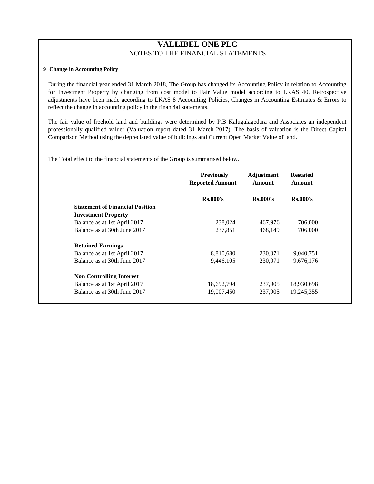# **9 Change in Accounting Policy**

During the financial year ended 31 March 2018, The Group has changed its Accounting Policy in relation to Accounting for Investment Property by changing from cost model to Fair Value model according to LKAS 40. Retrospective adjustments have been made according to LKAS 8 Accounting Policies, Changes in Accounting Estimates & Errors to reflect the change in accounting policy in the financial statements.

The fair value of freehold land and buildings were determined by P.B Kalugalagedara and Associates an independent professionally qualified valuer (Valuation report dated 31 March 2017). The basis of valuation is the Direct Capital Comparison Method using the depreciated value of buildings and Current Open Market Value of land.

The Total effect to the financial statements of the Group is summarised below.

| <b>Previously</b><br><b>Reported Amount</b> | <b>Adjustment</b><br><b>Amount</b> | <b>Restated</b><br>Amount |            |
|---------------------------------------------|------------------------------------|---------------------------|------------|
| $Rs.000$ 's                                 | Rs.000's                           | Rs.000's                  |            |
|                                             |                                    |                           |            |
|                                             |                                    |                           |            |
| 238,024                                     | 467,976                            | 706,000                   |            |
| 237,851                                     | 468,149                            | 706,000                   |            |
|                                             |                                    |                           |            |
| 8,810,680                                   | 230,071                            | 9,040,751                 |            |
| 9,446,105                                   | 230,071                            | 9,676,176                 |            |
| 18,692,794                                  | 237,905                            | 18,930,698                |            |
|                                             |                                    |                           |            |
|                                             | 19,007,450                         | 237,905                   | 19,245,355 |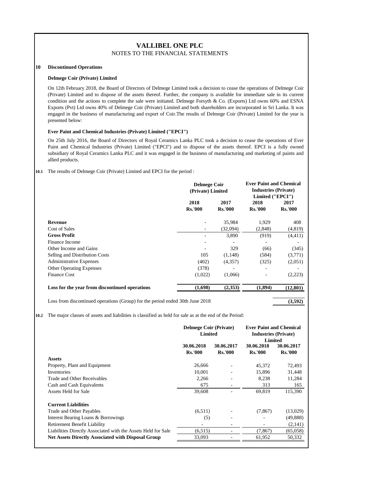#### **10 Discontinued Operations**

#### **Delmege Coir (Private) Limited**

On 12th February 2018, the Board of Directors of Delmege Limited took a decision to cease the operations of Delmege Coir (Private) Limited and to dispose of the assets thereof. Further, the company is available for immediate sale in its current condition and the actions to complete the sale were initiated. Delmege Forsyth & Co. (Exports) Ltd owns 60% and ESNA Exports (Pvt) Ltd owns 40% of Delmege Coir (Private) Limited and both shareholders are incorporated in Sri Lanka. It was engaged in the business of manufacturing and export of Coir.The results of Delmege Coir (Private) Limited for the year is presented below:

#### **Ever Paint and Chemical Industries (Private) Limited ("EPCI")**

On 25th July 2016, the Board of Directors of Royal Ceramics Lanka PLC took a decision to cease the operations of Ever Paint and Chemical Industries (Private) Limited ("EPCI") and to dispose of the assets thereof. EPCI is a fully owned subsidiary of Royal Ceramics Lanka PLC and it was engaged in the business of manufacturing and marketing of paints and allied products.

#### **10.1** The results of Delmege Coir (Private) Limited and EPCI for the period :

|                                                | <b>Delmege Coir</b><br>(Private) Limited |                        | <b>Ever Paint and Chemical</b><br><b>Industries (Private)</b><br>Limited ("EPCI") |                        |
|------------------------------------------------|------------------------------------------|------------------------|-----------------------------------------------------------------------------------|------------------------|
|                                                | 2018<br><b>Rs.'000</b>                   | 2017<br><b>Rs.'000</b> | 2018<br><b>Rs.'000</b>                                                            | 2017<br><b>Rs.'000</b> |
| Revenue                                        |                                          | 35,984                 | 1,929                                                                             | 408                    |
| Cost of Sales                                  |                                          | (32,094)               | (2,848)                                                                           | (4,819)                |
| <b>Gross Profit</b>                            |                                          | 3,890                  | (919)                                                                             | (4, 411)               |
| Finance Income                                 |                                          |                        |                                                                                   |                        |
| Other Income and Gains                         |                                          | 329                    | (66)                                                                              | (345)                  |
| Selling and Distribution Costs                 | 105                                      | (1,148)                | (584)                                                                             | (3,771)                |
| <b>Administrative Expenses</b>                 | (402)                                    | (4,357)                | (325)                                                                             | (2,051)                |
| <b>Other Operating Expenses</b>                | (378)                                    | ٠                      | ۰                                                                                 |                        |
| <b>Finance Cost</b>                            | (1,022)                                  | (1,066)                | ۰                                                                                 | (2,223)                |
| Loss for the year from discontinued operations | (1,698)                                  | (2,353)                | (1,894)                                                                           | (12, 801)              |
|                                                |                                          |                        |                                                                                   |                        |

Loss from discontinued operations (Group) for the period ended 30th June 2018 **(3,592)**

**10.2** The major classes of assets and liabilities is classified as held for sale as at the end of the Period:

|                                                               | <b>Delmege Coir (Private)</b><br><b>Limited</b> |                              | <b>Ever Paint and Chemical</b><br><b>Industries (Private)</b> |                              |
|---------------------------------------------------------------|-------------------------------------------------|------------------------------|---------------------------------------------------------------|------------------------------|
|                                                               | 30.06.2018<br><b>Rs.'000</b>                    | 30.06.2017<br><b>Rs.'000</b> | <b>Limited</b><br>30.06.2018<br><b>Rs.'000</b>                | 30.06.2017<br><b>Rs.'000</b> |
| <b>Assets</b>                                                 |                                                 |                              |                                                               |                              |
| Property, Plant and Equipment                                 | 26,666                                          |                              | 45,372                                                        | 72,493                       |
| <b>Inventories</b>                                            | 10,001                                          |                              | 15,896                                                        | 31,448                       |
| Trade and Other Receivables                                   | 2,266                                           |                              | 8,238                                                         | 11,284                       |
| Cash and Cash Equivalents                                     | 675                                             |                              | 313                                                           | 165                          |
| Assets Held for Sale                                          | 39,608                                          |                              | 69,819                                                        | 115,390                      |
| <b>Current Liabilities</b>                                    |                                                 |                              |                                                               |                              |
| Trade and Other Payables                                      | (6,511)                                         |                              | (7, 867)                                                      | (13,029)                     |
| Interest Bearing Loans & Borrowings                           | (5)                                             |                              |                                                               | (49, 888)                    |
| <b>Retirement Benefit Liability</b>                           |                                                 |                              |                                                               | (2,141)                      |
| Liabilities Directly Associated with the Assets Held for Sale | (6,515)                                         |                              | (7, 867)                                                      | (65,058)                     |
| <b>Net Assets Directly Associated with Disposal Group</b>     | 33,093                                          |                              | 61,952                                                        | 50,332                       |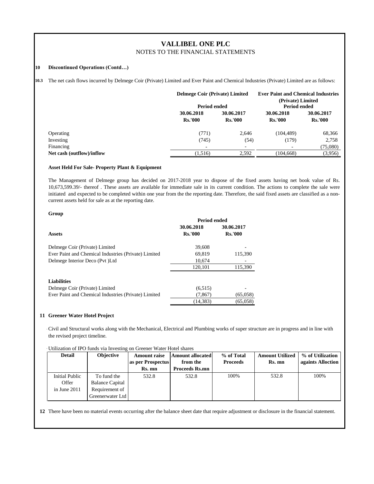#### **10 Discontinued Operations (Contd…)**

**10.3** The net cash flows incurred by Delmege Coir (Private) Limited and Ever Paint and Chemical Industries (Private) Limited are as follows:

|                           | <b>Delmege Coir (Private) Limited</b><br><b>Period ended</b> |                              | <b>Ever Paint and Chemical Industries</b><br>(Private) Limited<br>Period ended |                              |  |
|---------------------------|--------------------------------------------------------------|------------------------------|--------------------------------------------------------------------------------|------------------------------|--|
|                           | 30.06.2018<br><b>Rs.'000</b>                                 | 30.06.2017<br><b>Rs.'000</b> | 30.06.2018<br><b>Rs.'000</b>                                                   | 30.06.2017<br><b>Rs.'000</b> |  |
| Operating                 | (771)                                                        | 2,646                        | (104, 489)                                                                     | 68,366                       |  |
| Investing                 | (745)                                                        | (54)                         | (179)                                                                          | 2,758                        |  |
| Financing                 | $\overline{\phantom{a}}$                                     | ٠                            | $\overline{\phantom{a}}$                                                       | (75,080)                     |  |
| Net cash (outflow)/inflow | (1,516)                                                      | 2,592                        | (104, 668)                                                                     | (3,956)                      |  |

#### **Asset Held For Sale- Property Plant & Equipment**

The Management of Delmege group has decided on 2017-2018 year to dispose of the fixed assets having net book value of Rs. 10,673,599.39/- thereof . These assets are available for immediate sale in its current condition. The actions to complete the sale were initiated and expected to be completed within one year from the the reporting date. Therefore, the said fixed assets are classified as a noncurrent assets held for sale as at the reporting date.

#### **Group**

|                                                      | Period ended   |                |  |  |  |
|------------------------------------------------------|----------------|----------------|--|--|--|
|                                                      | 30.06.2018     | 30.06.2017     |  |  |  |
| <b>Assets</b>                                        | <b>Rs.'000</b> | <b>Rs.'000</b> |  |  |  |
| Delmege Coir (Private) Limited                       | 39,608         |                |  |  |  |
| Ever Paint and Chemical Industries (Private) Limited | 69.819         | 115,390        |  |  |  |
| Delmege Interior Deco (Pvt)Ltd                       | 10.674         |                |  |  |  |
|                                                      | 120.101        | 115,390        |  |  |  |
| <b>Liabilities</b>                                   |                |                |  |  |  |
| Delmege Coir (Private) Limited                       | (6,515)        |                |  |  |  |
| Ever Paint and Chemical Industries (Private) Limited | (7, 867)       | (65,058)       |  |  |  |
|                                                      | (14.383)       | (65,058)       |  |  |  |

#### **11 Greener Water Hotel Project**

- Civil and Structural works along with the Mechanical, Electrical and Plumbing works of super structure are in progress and in line with the revised project timeline.

-Utilization of IPO funds via Investing on Greener Water Hotel shares

| <b>Detail</b>  | <b>Objective</b>       | <b>Amount raise</b><br>as per Prospectus<br>Rs. mn | <b>Amount allocated</b><br>from the<br><b>Proceeds Rs.mn</b> | % of Total<br><b>Proceeds</b> | <b>Amount Utilized</b><br>Rs. mn | % of Utilization<br>againts Alloction |
|----------------|------------------------|----------------------------------------------------|--------------------------------------------------------------|-------------------------------|----------------------------------|---------------------------------------|
| Initial Public | To fund the            | 532.8                                              | 532.8                                                        | 100%                          | 532.8                            | 100%                                  |
| Offer          | <b>Balance Capital</b> |                                                    |                                                              |                               |                                  |                                       |
| in June $2011$ | Requirement of         |                                                    |                                                              |                               |                                  |                                       |
|                | Greenerwater Ltd       |                                                    |                                                              |                               |                                  |                                       |

**12** There have been no material events occurring after the balance sheet date that require adjustment or disclosure in the financial statement.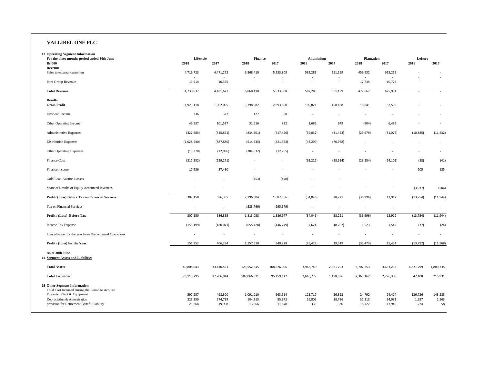# **VALLIBEL ONE PLC**

| <b>13 Operating Segment Information</b><br>For the three months period ended 30th June  | Lifestyle          |                          | <b>Finance</b>       |                          | <b>Alluminium</b>                   |                          | <b>Plantation</b>        |                          | Leisure                  |                          |
|-----------------------------------------------------------------------------------------|--------------------|--------------------------|----------------------|--------------------------|-------------------------------------|--------------------------|--------------------------|--------------------------|--------------------------|--------------------------|
| <b>Rs'000</b>                                                                           | 2018               | 2017                     | 2018                 | 2017                     | 2018                                | 2017                     | 2018                     | 2017                     | 2018                     | 2017                     |
| Revenue                                                                                 |                    |                          |                      |                          |                                     |                          |                          |                          |                          |                          |
| Sales to external customers                                                             | 4,716,723          | 4,471,272                | 6,868,410            | 5,533,808                | 582,283<br>$\overline{\phantom{a}}$ | 551,199                  | 459,932<br>$\sim$        | 615,255<br>٠             |                          | $\sim$                   |
| Intra Group Revenue                                                                     | 13,914             | 10,355                   | ٠                    |                          | ÷,                                  | $\sim$                   | 17,735                   | 10,726                   |                          | $\sim$                   |
| <b>Total Revenue</b>                                                                    | 4,730,637          | 4,481,627                | 6,868,410            | 5,533,808                | 582,283                             | 551,199                  | 477,667                  | 625,981                  | $\sim$                   |                          |
| <b>Results</b>                                                                          |                    |                          |                      |                          |                                     |                          |                          |                          |                          |                          |
| <b>Gross Profit</b>                                                                     | 1,923,118          | 1,902,095                | 3,798,982            | 2,893,850                | 109,821                             | 158,188                  | 16,841                   | 62,599                   |                          |                          |
| Dividend Income                                                                         | 336                | 322                      | 427                  | 88                       | $\sim$                              | $\overline{\phantom{a}}$ | $\overline{a}$           |                          |                          |                          |
| Other Operating Income                                                                  | 49,537             | 101,517                  | 31,616               | 832                      | 1,686                               | 949                      | (904)                    | 6,489                    |                          |                          |
| Administrative Expenses                                                                 | (327, 685)         | (315, 871)               | (834, 601)           | (717, 426)               | (39,032)                            | (31, 423)                | (29, 679)                | (31,075)                 | (10, 885)                | (11, 532)                |
| <b>Distribution Expenses</b>                                                            | (1,028,440)        | (887, 880)               | (514, 535)           | (421, 553)               | (43, 299)                           | (70, 978)                |                          |                          |                          |                          |
| Other Operating Expenses                                                                | (15, 370)          | (12,036)                 | (284, 632)           | (72, 765)                | $\overline{\phantom{a}}$            | $\overline{\phantom{a}}$ | $\overline{\phantom{a}}$ |                          |                          | $\sim$                   |
| Finance Cost                                                                            | (312, 332)         | (239, 271)               | $\overline{a}$       | $\overline{\phantom{a}}$ | (63, 222)                           | (28, 514)                | (23, 254)                | (24, 101)                | (38)                     | (41)                     |
| Finance Income                                                                          | 17,986             | 37,480                   |                      |                          |                                     |                          |                          |                          | 205                      | 135                      |
| <b>Gold Loan Auction Losses</b>                                                         |                    | ÷,                       | (453)                | (470)                    |                                     |                          |                          |                          | $\sim$                   | $\sim$                   |
| Share of Results of Equity Accounted Investees                                          |                    |                          | $\overline{a}$       |                          |                                     |                          |                          | ٠                        | (3,037)                  | (506)                    |
| Profit/ (Loss) Before Tax on Financial Services                                         | 307,150            | 586,355                  | 2,196,804            | 1,682,556                | (34,046)                            | 28,221                   | (36,996)                 | 13,912                   | (13, 754)                | (11, 944)                |
| Tax on Financial Services                                                               |                    | $\overline{\phantom{a}}$ | (383, 766)           | (295, 579)               | $\overline{\phantom{a}}$            | $\overline{\phantom{a}}$ | $\sim$                   | $\overline{\phantom{a}}$ | $\overline{\phantom{a}}$ | $\overline{\phantom{a}}$ |
| Profit / (Loss) Before Tax                                                              | 307,150            | 586,355                  | 1,813,038            | 1,386,977                | (34,046)                            | 28,221                   | (36,996)                 | 13,912                   | (13, 754)                | (11, 944)                |
| Income Tax Expense                                                                      | (155, 199)         | (180,071)                | (655, 428)           | (446, 749)               | 7,624                               | (8, 702)                 | 1,523                    | 1,542                    | (37)                     | (24)                     |
| Loss after tax for the year from Discontinued Operations                                |                    | $\overline{\phantom{a}}$ | ÷,                   | $\overline{\phantom{a}}$ | ÷,                                  | $\overline{\phantom{a}}$ | $\overline{\phantom{a}}$ | $\overline{\phantom{a}}$ | $\overline{\phantom{a}}$ | $\sim$                   |
| Profit / (Loss) for the Year                                                            | 151,952            | 406,284                  | 1,157,610            | 940,228                  | (26, 422)                           | 19,519                   | (35, 473)                | 15,454                   | (13, 792)                | (11,968)                 |
| As at 30th June<br><b>14 Segment Assets and Liabilities</b>                             |                    |                          |                      |                          |                                     |                          |                          |                          |                          |                          |
| <b>Total Assets</b>                                                                     | 40,808,043         | 33,410,551               | 123,552,645          | 108,626,006              | 3,948,740                           | 2,361,703                | 3,702,253                | 3,653,238                | 4,821,799                | 1,889,335                |
| <b>Total Liabilities</b>                                                                | 23,115,795         | 17,706,014               | 107,066,611          | 95,159,112               | 2,646,727                           | 1,198,596                | 2,365,162                | 2,276,300                | 547,108                  | 215,931                  |
| <b>15 Other Segment Information</b><br>Total Cost Incurred During the Period to Acquire |                    |                          |                      |                          |                                     |                          |                          |                          |                          |                          |
| Property, Plant & Equipment<br>Depreciation & Amortization                              | 597,257<br>323,350 | 498,300<br>274,739       | 1,091,010<br>104,315 | 663,514<br>85,972        | 123,717<br>26,805                   | 56,393<br>18,786         | 24,792<br>31,213         | 24,474<br>34,081         | 136,726<br>1,657         | 143,285<br>1,563         |
| provision for Retirement Benefit Liability                                              | 25,264             | 19,908                   | 13,666               | 11,870                   | 335                                 | 330                      | 18,727                   | 17,949                   | 224                      | 58                       |
|                                                                                         |                    |                          |                      |                          |                                     |                          |                          |                          |                          |                          |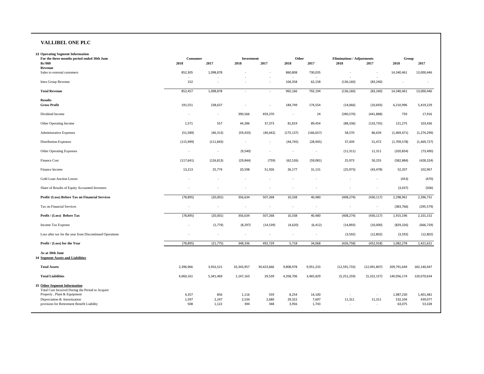# **VALLIBEL ONE PLC**

| <b>13 Operating Segment Information</b>                                                                                |                          |                          |                          |                          |                          |                |                                           |                          |                   |                   |
|------------------------------------------------------------------------------------------------------------------------|--------------------------|--------------------------|--------------------------|--------------------------|--------------------------|----------------|-------------------------------------------|--------------------------|-------------------|-------------------|
| For the three months period ended 30th June<br><b>Rs'000</b>                                                           | Consumer<br>2018         | 2017                     | Investment<br>2018       | 2017                     | Other<br>2018            | 2017           | <b>Eliminations / Adjustments</b><br>2018 | 2017                     | Group<br>2018     | 2017              |
| Revenue                                                                                                                |                          |                          |                          |                          |                          |                |                                           |                          |                   |                   |
| Sales to external customers                                                                                            | 852,305                  | 1,098,878                |                          | $\overline{\phantom{a}}$ | 860,808                  | 730,035        | $\overline{\phantom{a}}$                  | $\overline{\phantom{a}}$ | 14,340,461        | 13,000,446        |
| Intra Group Revenue                                                                                                    | 152                      | ٠                        |                          | $\overline{a}$           | 104,358                  | 62,158         | (136, 160)                                | (83, 240)                | $\sim$            |                   |
| <b>Total Revenue</b>                                                                                                   | 852,457                  | 1,098,878                |                          | ä,                       | 965,166                  | 792,194        | (136, 160)                                | (83, 240)                | 14,340,461        | 13,000,446        |
| <b>Results</b><br><b>Gross Profit</b>                                                                                  | 191,551                  | 238,637                  |                          | $\overline{\phantom{a}}$ | 184,749                  | 174,554        | (14,066)                                  | (10, 693)                | 6,210,996         | 5,419,229         |
| Dividend Income                                                                                                        | $\overline{\phantom{a}}$ | $\sim$                   | 390,566                  | 459,370                  | $\sim$                   | 24             | (390, 570)                                | (441, 888)               | 759               | 17,916            |
| Other Operating Income                                                                                                 | 1,571                    | 557                      | 44,286                   | 37,373                   | 81,819                   | 89,454         | (88, 336)                                 | (133, 735)               | 121,275           | 103,436           |
| <b>Administrative Expenses</b>                                                                                         | (51, 589)                | (46, 313)                | (59, 433)                | (40, 642)                | (175, 137)               | (166, 657)     | 58,570                                    | 86,639                   | (1,469,471)       | (1, 274, 299)     |
| <b>Distribution Expenses</b>                                                                                           | (115,999)                | (111, 843)               | $\sim$                   | $\overline{\phantom{a}}$ | (44, 745)                | (28, 945)      | 37,439                                    | 51,472                   | (1,709,578)       | (1,469,727)       |
| Other Operating Expenses                                                                                               | $\overline{\phantom{a}}$ | $\overline{\phantom{a}}$ | (9,540)                  | ٠                        | $\overline{\phantom{a}}$ | $\sim$         | (11, 311)                                 | 11,311                   | (320, 854)        | (73, 490)         |
| Finance Cost                                                                                                           | (117, 641)               | (126, 813)               | (29, 844)                | (759)                    | (62, 526)                | (59,081)       | 25,973                                    | 50,255                   | (582, 884)        | (428, 324)        |
| Finance Income                                                                                                         | 13,213                   | 25,774                   | 20,598                   | 51,926                   | 26,177                   | 31,131         | (25, 973)                                 | (43, 478)                | 52,207            | 102,967           |
| Gold Loan Auction Losses                                                                                               | $\overline{\phantom{a}}$ |                          |                          |                          |                          |                |                                           | ٠                        | (453)             | (470)             |
| Share of Results of Equity Accounted Investees                                                                         |                          | ٠                        |                          |                          | ×,                       |                |                                           | $\overline{\phantom{a}}$ | (3,037)           | (506)             |
| Profit/ (Loss) Before Tax on Financial Services                                                                        | (78, 895)                | (20,001)                 | 356,634                  | 507,268                  | 10,338                   | 40,480         | (408, 274)                                | (430, 117)               | 2,298,961         | 2,396,731         |
| Tax on Financial Services                                                                                              | $\overline{\phantom{a}}$ | ×,                       | $\overline{\phantom{a}}$ |                          | $\overline{\phantom{a}}$ |                | $\overline{\phantom{m}}$                  | $\overline{\phantom{a}}$ | (383, 766)        | (295, 579)        |
| Profit / (Loss) Before Tax                                                                                             | (78, 895)                | (20,001)                 | 356,634                  | 507,268                  | 10,338                   | 40,480         | (408, 274)                                | (430, 117)               | 1,915,196         | 2,101,152         |
| Income Tax Expense                                                                                                     | $\overline{\phantom{a}}$ | (1,774)                  | (8, 297)                 | (14, 539)                | (4,620)                  | (6, 412)       | (14, 893)                                 | (10,000)                 | (829, 326)        | (666, 729)        |
| Loss after tax for the year from Discontinued Operations                                                               |                          | J.                       | $\overline{\phantom{a}}$ |                          | ×.                       | $\sim$         | (3, 592)                                  | (12,802)                 | (3, 592)          | (12, 802)         |
| Profit / (Loss) for the Year                                                                                           | (78, 895)                | (21, 775)                | 348,336                  | 492,729                  | 5,718                    | 34,068         | (426, 758)                                | (452, 918)               | 1,082,278         | 1,421,621         |
| As at 30th June<br><b>14 Segment Assets and Liabilities</b>                                                            |                          |                          |                          |                          |                          |                |                                           |                          |                   |                   |
| <b>Total Assets</b>                                                                                                    | 2,396,966                | 3,916,521                | 33,343,957               | 30,423,666               | 9,808,978                | 9,951,233      | (12, 591, 733)                            | (12,091,807)             | 209,791,649       | 182,140,447       |
| <b>Total Liabilities</b>                                                                                               | 4,060,161                | 5,341,469                | 1,147,163                | 29,539                   | 4,358,706                | 3,465,829      | (5,251,259)                               | (5,322,157)              | 140,056,174       | 120,070,634       |
| <b>15 Other Segment Information</b><br>Total Cost Incurred During the Period to Acquire<br>Property, Plant & Equipment | 4,357                    | 856                      | 1,116                    | 559                      | 8,254                    | 14,100         | ÷,                                        | ÷,                       | 1,987,230         | 1,401,481         |
| Depreciation & Amortization<br>provision for Retirement Benefit Liability                                              | 1,597<br>508             | 2,247<br>1,122           | 2,534<br>394             | 2,680<br>348             | 29,322<br>3,956          | 7,697<br>1,743 | 11,311<br>$\overline{\phantom{a}}$        | 11,311<br>٠              | 532,104<br>63,075 | 439,077<br>53,328 |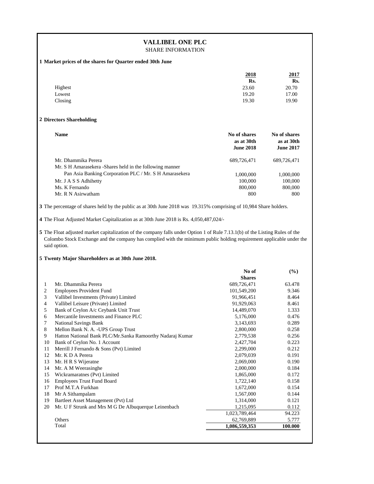# **VALLIBEL ONE PLC**

# SHARE INFORMATION

**1 Market prices of the shares for Quarter ended 30th June** 

|         | 2018  | 2017  |
|---------|-------|-------|
|         | Rs.   | Rs.   |
| Highest | 23.60 | 20.70 |
| Lowest  | 19.20 | 17.00 |
| Closing | 19.30 | 19.90 |

#### **2 Directors Shareholding**

| <b>Name</b>                                               | No of shares<br>as at 30th<br><b>June 2018</b> | No of shares<br>as at 30th<br><b>June 2017</b> |
|-----------------------------------------------------------|------------------------------------------------|------------------------------------------------|
| Mr. Dhammika Perera                                       | 689,726,471                                    | 689.726.471                                    |
| Mr. S H Amarasekera - Shares held in the following manner |                                                |                                                |
| Pan Asia Banking Corporation PLC / Mr. S H Amarasekera    | 1,000,000                                      | 1,000,000                                      |
| Mr. J A S S Adhihetty                                     | 100,000                                        | 100,000                                        |
| Ms. K Fernando                                            | 800,000                                        | 800,000                                        |
| Mr. R N Asirwatham                                        | 800                                            | 800                                            |

**3** The percentage of shares held by the public as at 30th June 2018 was 19.315% comprising of 10,984 Share holders.

**4** The Float Adjusted Market Capitalization as at 30th June 2018 is Rs. 4,050,487,024/-

**5** The Float adjusted market capitalization of the company falls under Option 1 of Rule 7.13.1(b) of the Listing Rules of the Colombo Stock Exchange and the company has complied with the minimum public holding requirement applicable under the said option.

**5 Twenty Major Shareholders as at 30th June 2018.**

|    |                                                           | No of         | $($ %)  |
|----|-----------------------------------------------------------|---------------|---------|
|    |                                                           | <b>Shares</b> |         |
| 1  | Mr. Dhammika Perera                                       | 689,726,471   | 63.478  |
| 2  | <b>Employees Provident Fund</b>                           | 101,549,200   | 9.346   |
| 3  | Vallibel Investments (Private) Limited                    | 91,966,451    | 8.464   |
| 4  | Vallibel Leisure (Private) Limited                        | 91,929,063    | 8.461   |
| 5  | Bank of Ceylon A/c Ceybank Unit Trust                     | 14,489,070    | 1.333   |
| 6  | Mercantile Investments and Finance PLC                    | 5,176,000     | 0.476   |
| 7  | <b>National Savings Bank</b>                              | 3,143,693     | 0.289   |
| 8  | Mellon Bank N. A. - UPS Group Trust                       | 2,800,000     | 0.258   |
| 9  | Hatton National Bank PLC/Mr.Sanka Ramoorthy Nadaraj Kumar | 2,779,538     | 0.256   |
| 10 | Bank of Ceylon No. 1 Account                              | 2,427,704     | 0.223   |
| 11 | Merrill J Fernando & Sons (Pvt) Limited                   | 2,299,000     | 0.212   |
| 12 | Mr. K D A Perera                                          | 2,079,039     | 0.191   |
| 13 | Mr. H R S Wijeratne                                       | 2,069,000     | 0.190   |
| 14 | Mr. A M Weerasinghe                                       | 2,000,000     | 0.184   |
| 15 | Wickramaratnes (Pvt) Limited                              | 1,865,000     | 0.172   |
| 16 | <b>Employees Trust Fund Board</b>                         | 1,722,140     | 0.158   |
| 17 | Prof M.T.A Furkhan                                        | 1,672,000     | 0.154   |
| 18 | Mr A Sithampalam                                          | 1,567,000     | 0.144   |
| 19 | Bartleet Asset Management (Pvt) Ltd                       | 1,314,000     | 0.121   |
| 20 | Mr. U F Strunk and Mrs M G De Albuquerque Leinenbach      | 1,215,095     | 0.112   |
|    |                                                           | 1,023,789,464 | 94.223  |
|    | Others                                                    | 62,769,889    | 5.777   |
|    | Total                                                     | 1,086,559,353 | 100.000 |